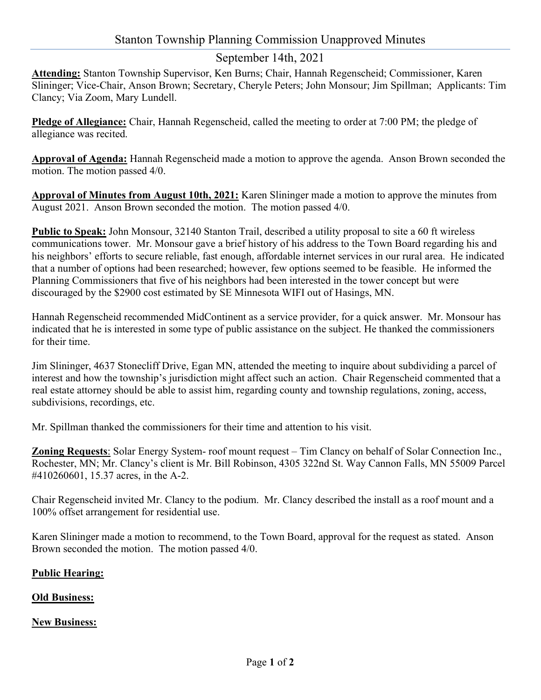### Stanton Township Planning Commission Unapproved Minutes

## September 14th, 2021

Attending: Stanton Township Supervisor, Ken Burns; Chair, Hannah Regenscheid; Commissioner, Karen Slininger; Vice-Chair, Anson Brown; Secretary, Cheryle Peters; John Monsour; Jim Spillman; Applicants: Tim Clancy; Via Zoom, Mary Lundell.

Pledge of Allegiance: Chair, Hannah Regenscheid, called the meeting to order at 7:00 PM; the pledge of allegiance was recited.

Approval of Agenda: Hannah Regenscheid made a motion to approve the agenda. Anson Brown seconded the motion. The motion passed 4/0.

Approval of Minutes from August 10th, 2021: Karen Slininger made a motion to approve the minutes from August 2021. Anson Brown seconded the motion. The motion passed 4/0.

Public to Speak: John Monsour, 32140 Stanton Trail, described a utility proposal to site a 60 ft wireless communications tower. Mr. Monsour gave a brief history of his address to the Town Board regarding his and his neighbors' efforts to secure reliable, fast enough, affordable internet services in our rural area. He indicated that a number of options had been researched; however, few options seemed to be feasible. He informed the Planning Commissioners that five of his neighbors had been interested in the tower concept but were discouraged by the \$2900 cost estimated by SE Minnesota WIFI out of Hasings, MN.

Hannah Regenscheid recommended MidContinent as a service provider, for a quick answer. Mr. Monsour has indicated that he is interested in some type of public assistance on the subject. He thanked the commissioners for their time.

Jim Slininger, 4637 Stonecliff Drive, Egan MN, attended the meeting to inquire about subdividing a parcel of interest and how the township's jurisdiction might affect such an action. Chair Regenscheid commented that a real estate attorney should be able to assist him, regarding county and township regulations, zoning, access, subdivisions, recordings, etc.

Mr. Spillman thanked the commissioners for their time and attention to his visit.

Zoning Requests: Solar Energy System- roof mount request – Tim Clancy on behalf of Solar Connection Inc., Rochester, MN; Mr. Clancy's client is Mr. Bill Robinson, 4305 322nd St. Way Cannon Falls, MN 55009 Parcel #410260601, 15.37 acres, in the A-2.

Chair Regenscheid invited Mr. Clancy to the podium. Mr. Clancy described the install as a roof mount and a 100% offset arrangement for residential use.

Karen Slininger made a motion to recommend, to the Town Board, approval for the request as stated. Anson Brown seconded the motion. The motion passed 4/0.

#### Public Hearing:

#### **Old Business:**

#### **New Business:**